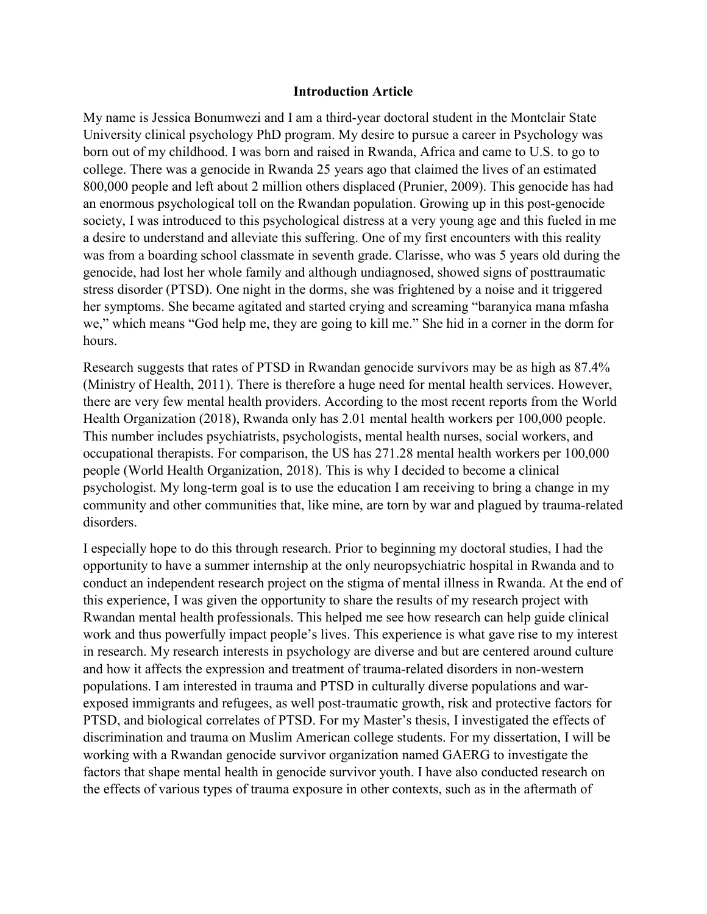## **Introduction Article**

My name is Jessica Bonumwezi and I am a third-year doctoral student in the Montclair State University clinical psychology PhD program. My desire to pursue a career in Psychology was born out of my childhood. I was born and raised in Rwanda, Africa and came to U.S. to go to college. There was a genocide in Rwanda 25 years ago that claimed the lives of an estimated 800,000 people and left about 2 million others displaced (Prunier, 2009). This genocide has had an enormous psychological toll on the Rwandan population. Growing up in this post-genocide society, I was introduced to this psychological distress at a very young age and this fueled in me a desire to understand and alleviate this suffering. One of my first encounters with this reality was from a boarding school classmate in seventh grade. Clarisse, who was 5 years old during the genocide, had lost her whole family and although undiagnosed, showed signs of posttraumatic stress disorder (PTSD). One night in the dorms, she was frightened by a noise and it triggered her symptoms. She became agitated and started crying and screaming "baranyica mana mfasha we," which means "God help me, they are going to kill me." She hid in a corner in the dorm for hours.

Research suggests that rates of PTSD in Rwandan genocide survivors may be as high as 87.4% (Ministry of Health, 2011). There is therefore a huge need for mental health services. However, there are very few mental health providers. According to the most recent reports from the World Health Organization (2018), Rwanda only has 2.01 mental health workers per 100,000 people. This number includes psychiatrists, psychologists, mental health nurses, social workers, and occupational therapists. For comparison, the US has 271.28 mental health workers per 100,000 people (World Health Organization, 2018). This is why I decided to become a clinical psychologist. My long-term goal is to use the education I am receiving to bring a change in my community and other communities that, like mine, are torn by war and plagued by trauma-related disorders.

I especially hope to do this through research. Prior to beginning my doctoral studies, I had the opportunity to have a summer internship at the only neuropsychiatric hospital in Rwanda and to conduct an independent research project on the stigma of mental illness in Rwanda. At the end of this experience, I was given the opportunity to share the results of my research project with Rwandan mental health professionals. This helped me see how research can help guide clinical work and thus powerfully impact people's lives. This experience is what gave rise to my interest in research. My research interests in psychology are diverse and but are centered around culture and how it affects the expression and treatment of trauma-related disorders in non-western populations. I am interested in trauma and PTSD in culturally diverse populations and warexposed immigrants and refugees, as well post-traumatic growth, risk and protective factors for PTSD, and biological correlates of PTSD. For my Master's thesis, I investigated the effects of discrimination and trauma on Muslim American college students. For my dissertation, I will be working with a Rwandan genocide survivor organization named GAERG to investigate the factors that shape mental health in genocide survivor youth. I have also conducted research on the effects of various types of trauma exposure in other contexts, such as in the aftermath of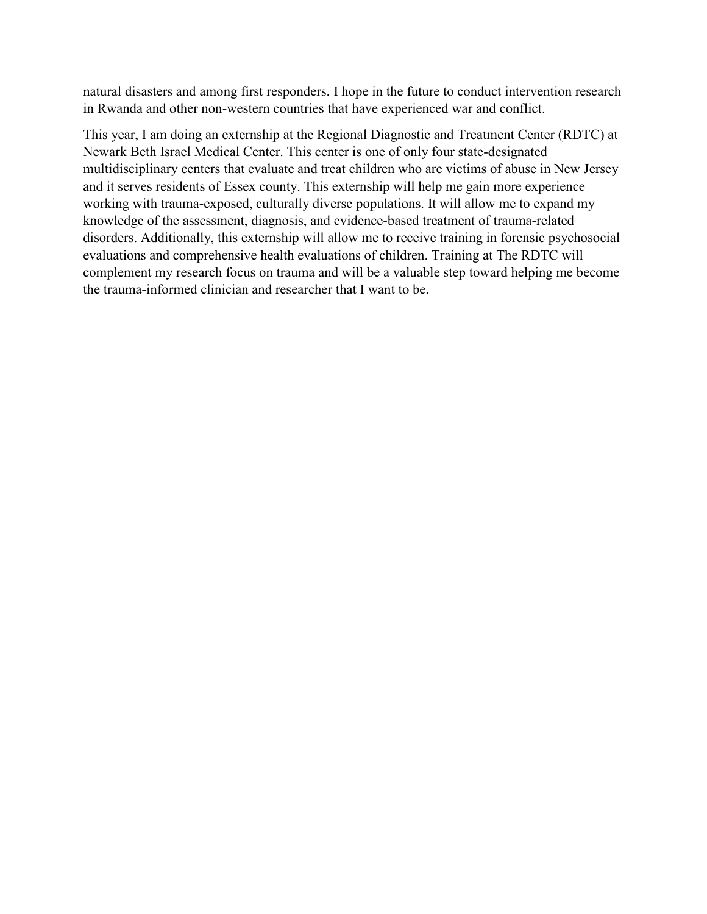natural disasters and among first responders. I hope in the future to conduct intervention research in Rwanda and other non-western countries that have experienced war and conflict.

This year, I am doing an externship at the Regional Diagnostic and Treatment Center (RDTC) at Newark Beth Israel Medical Center. This center is one of only four state-designated multidisciplinary centers that evaluate and treat children who are victims of abuse in New Jersey and it serves residents of Essex county. This externship will help me gain more experience working with trauma-exposed, culturally diverse populations. It will allow me to expand my knowledge of the assessment, diagnosis, and evidence-based treatment of trauma-related disorders. Additionally, this externship will allow me to receive training in forensic psychosocial evaluations and comprehensive health evaluations of children. Training at The RDTC will complement my research focus on trauma and will be a valuable step toward helping me become the trauma-informed clinician and researcher that I want to be.